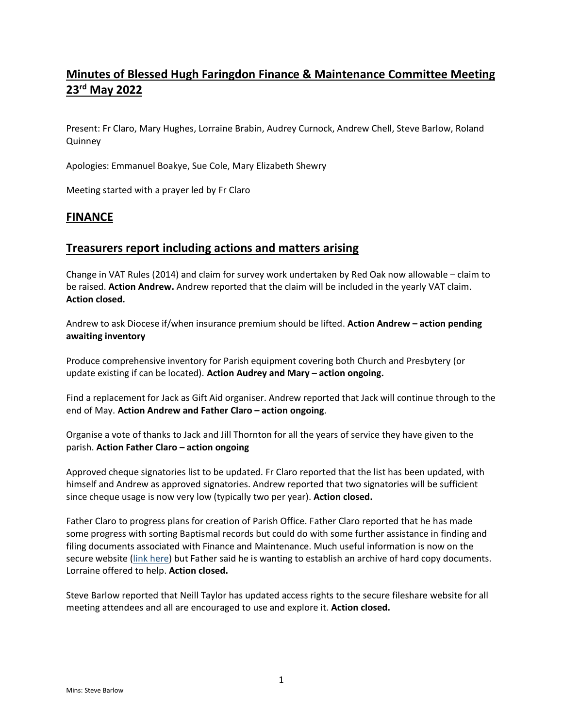# **Minutes of Blessed Hugh Faringdon Finance & Maintenance Committee Meeting 23 rd May 2022**

Present: Fr Claro, Mary Hughes, Lorraine Brabin, Audrey Curnock, Andrew Chell, Steve Barlow, Roland **Quinney** 

Apologies: Emmanuel Boakye, Sue Cole, Mary Elizabeth Shewry

Meeting started with a prayer led by Fr Claro

### **FINANCE**

### **Treasurers report including actions and matters arising**

Change in VAT Rules (2014) and claim for survey work undertaken by Red Oak now allowable – claim to be raised. **Action Andrew.** Andrew reported that the claim will be included in the yearly VAT claim. **Action closed.**

Andrew to ask Diocese if/when insurance premium should be lifted. **Action Andrew – action pending awaiting inventory**

Produce comprehensive inventory for Parish equipment covering both Church and Presbytery (or update existing if can be located). **Action Audrey and Mary – action ongoing.**

Find a replacement for Jack as Gift Aid organiser. Andrew reported that Jack will continue through to the end of May. **Action Andrew and Father Claro – action ongoing**.

Organise a vote of thanks to Jack and Jill Thornton for all the years of service they have given to the parish. **Action Father Claro – action ongoing**

Approved cheque signatories list to be updated. Fr Claro reported that the list has been updated, with himself and Andrew as approved signatories. Andrew reported that two signatories will be sufficient since cheque usage is now very low (typically two per year). **Action closed.**

Father Claro to progress plans for creation of Parish Office. Father Claro reported that he has made some progress with sorting Baptismal records but could do with some further assistance in finding and filing documents associated with Finance and Maintenance. Much useful information is now on the secure website [\(link here\)](https://blessedhugh.org.uk/fileshare/) but Father said he is wanting to establish an archive of hard copy documents. Lorraine offered to help. **Action closed.**

Steve Barlow reported that Neill Taylor has updated access rights to the secure fileshare website for all meeting attendees and all are encouraged to use and explore it. **Action closed.**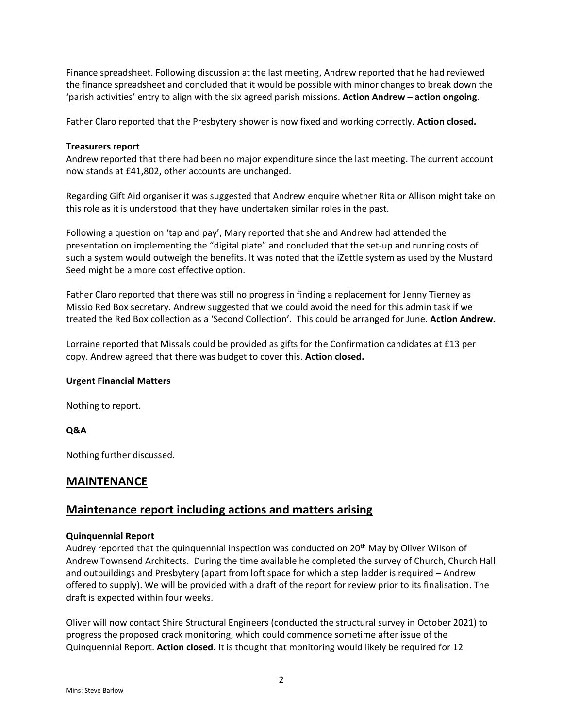Finance spreadsheet. Following discussion at the last meeting, Andrew reported that he had reviewed the finance spreadsheet and concluded that it would be possible with minor changes to break down the 'parish activities' entry to align with the six agreed parish missions. **Action Andrew – action ongoing.**

Father Claro reported that the Presbytery shower is now fixed and working correctly. **Action closed.**

#### **Treasurers report**

Andrew reported that there had been no major expenditure since the last meeting. The current account now stands at £41,802, other accounts are unchanged.

Regarding Gift Aid organiser it was suggested that Andrew enquire whether Rita or Allison might take on this role as it is understood that they have undertaken similar roles in the past.

Following a question on 'tap and pay', Mary reported that she and Andrew had attended the presentation on implementing the "digital plate" and concluded that the set-up and running costs of such a system would outweigh the benefits. It was noted that the iZettle system as used by the Mustard Seed might be a more cost effective option.

Father Claro reported that there was still no progress in finding a replacement for Jenny Tierney as Missio Red Box secretary. Andrew suggested that we could avoid the need for this admin task if we treated the Red Box collection as a 'Second Collection'. This could be arranged for June. **Action Andrew.** 

Lorraine reported that Missals could be provided as gifts for the Confirmation candidates at £13 per copy. Andrew agreed that there was budget to cover this. **Action closed.**

#### **Urgent Financial Matters**

Nothing to report.

#### **Q&A**

Nothing further discussed.

### **MAINTENANCE**

### **Maintenance report including actions and matters arising**

#### **Quinquennial Report**

Audrey reported that the quinquennial inspection was conducted on 20<sup>th</sup> May by Oliver Wilson of Andrew Townsend Architects. During the time available he completed the survey of Church, Church Hall and outbuildings and Presbytery (apart from loft space for which a step ladder is required – Andrew offered to supply). We will be provided with a draft of the report for review prior to its finalisation. The draft is expected within four weeks.

Oliver will now contact Shire Structural Engineers (conducted the structural survey in October 2021) to progress the proposed crack monitoring, which could commence sometime after issue of the Quinquennial Report. **Action closed.** It is thought that monitoring would likely be required for 12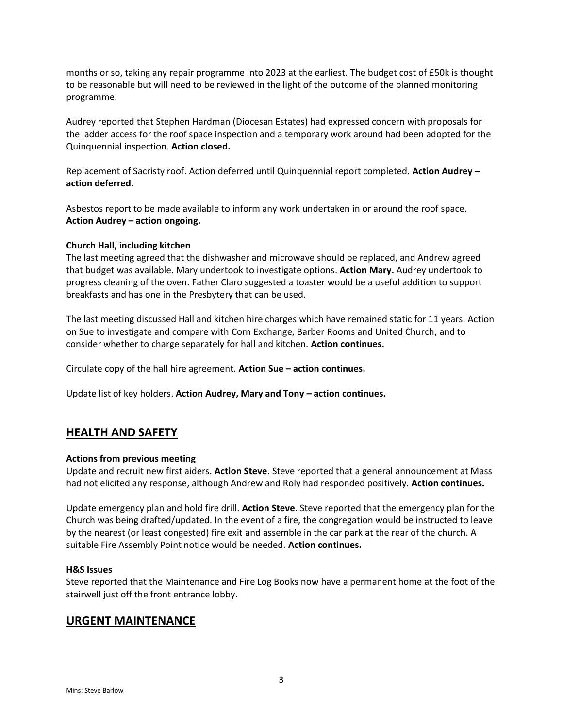months or so, taking any repair programme into 2023 at the earliest. The budget cost of £50k is thought to be reasonable but will need to be reviewed in the light of the outcome of the planned monitoring programme.

Audrey reported that Stephen Hardman (Diocesan Estates) had expressed concern with proposals for the ladder access for the roof space inspection and a temporary work around had been adopted for the Quinquennial inspection. **Action closed.**

Replacement of Sacristy roof. Action deferred until Quinquennial report completed. **Action Audrey – action deferred.**

Asbestos report to be made available to inform any work undertaken in or around the roof space. **Action Audrey – action ongoing.**

#### **Church Hall, including kitchen**

The last meeting agreed that the dishwasher and microwave should be replaced, and Andrew agreed that budget was available. Mary undertook to investigate options. **Action Mary.** Audrey undertook to progress cleaning of the oven. Father Claro suggested a toaster would be a useful addition to support breakfasts and has one in the Presbytery that can be used.

The last meeting discussed Hall and kitchen hire charges which have remained static for 11 years. Action on Sue to investigate and compare with Corn Exchange, Barber Rooms and United Church, and to consider whether to charge separately for hall and kitchen. **Action continues.**

Circulate copy of the hall hire agreement. **Action Sue – action continues.**

Update list of key holders. **Action Audrey, Mary and Tony – action continues.**

### **HEALTH AND SAFETY**

#### **Actions from previous meeting**

Update and recruit new first aiders. **Action Steve.** Steve reported that a general announcement at Mass had not elicited any response, although Andrew and Roly had responded positively. **Action continues.**

Update emergency plan and hold fire drill. **Action Steve.** Steve reported that the emergency plan for the Church was being drafted/updated. In the event of a fire, the congregation would be instructed to leave by the nearest (or least congested) fire exit and assemble in the car park at the rear of the church. A suitable Fire Assembly Point notice would be needed. **Action continues.**

#### **H&S Issues**

Steve reported that the Maintenance and Fire Log Books now have a permanent home at the foot of the stairwell just off the front entrance lobby.

### **URGENT MAINTENANCE**